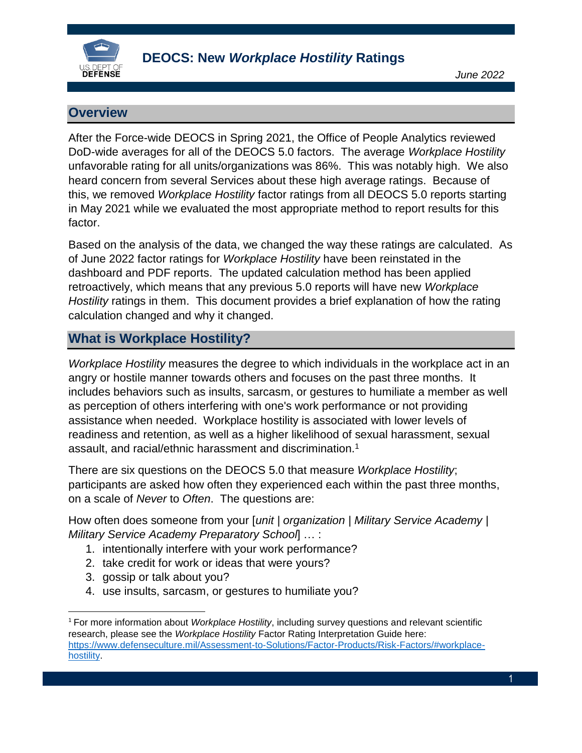

## **Overview**

After the Force-wide DEOCS in Spring 2021, the Office of People Analytics reviewed DoD-wide averages for all of the DEOCS 5.0 factors. The average *Workplace Hostility* unfavorable rating for all units/organizations was 86%. This was notably high. We also heard concern from several Services about these high average ratings. Because of this, we removed *Workplace Hostility* factor ratings from all DEOCS 5.0 reports starting in May 2021 while we evaluated the most appropriate method to report results for this factor.

Based on the analysis of the data, we changed the way these ratings are calculated. As of June 2022 factor ratings for *Workplace Hostility* have been reinstated in the dashboard and PDF reports. The updated calculation method has been applied retroactively, which means that any previous 5.0 reports will have new *Workplace Hostility* ratings in them. This document provides a brief explanation of how the rating calculation changed and why it changed.

## **What is Workplace Hostility?**

*Workplace Hostility* measures the degree to which individuals in the workplace act in an angry or hostile manner towards others and focuses on the past three months. It includes behaviors such as insults, sarcasm, or gestures to humiliate a member as well as perception of others interfering with one's work performance or not providing assistance when needed. Workplace hostility is associated with lower levels of readiness and retention, as well as a higher likelihood of sexual harassment, sexual assault, and racial/ethnic harassment and discrimination.<sup>1</sup>

There are six questions on the DEOCS 5.0 that measure *Workplace Hostility*; participants are asked how often they experienced each within the past three months, on a scale of *Never* to *Often*. The questions are:

How often does someone from your [*unit | organization | Military Service Academy* | *Military Service Academy Preparatory School*] … :

- 1. intentionally interfere with your work performance?
- 2. take credit for work or ideas that were yours?
- 3. gossip or talk about you?

 $\overline{a}$ 

4. use insults, sarcasm, or gestures to humiliate you?

<sup>1</sup> For more information about *Workplace Hostility*, including survey questions and relevant scientific research, please see the *Workplace Hostility* Factor Rating Interpretation Guide here: [https://www.defenseculture.mil/Assessment-to-Solutions/Factor-Products/Risk-Factors/#workplace](https://www.defenseculture.mil/Assessment-to-Solutions/Factor-Products/Risk-Factors/#workplace-hostility)**hostility**.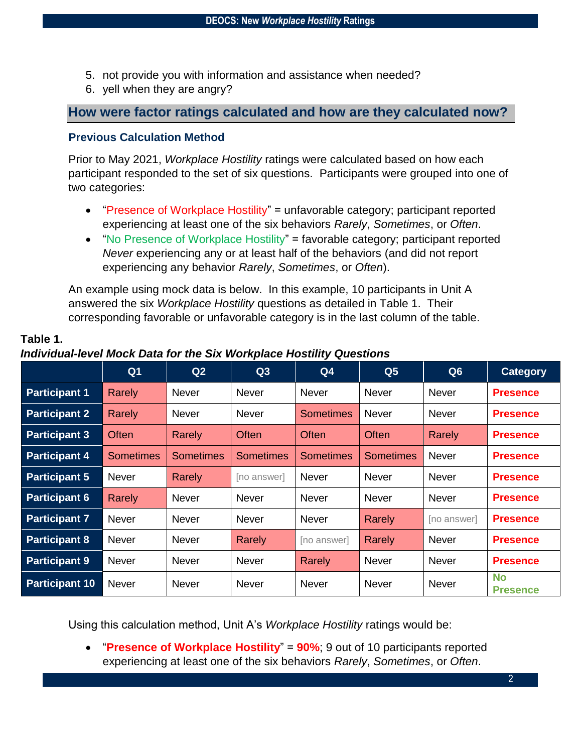- 5. not provide you with information and assistance when needed?
- 6. yell when they are angry?

## **How were factor ratings calculated and how are they calculated now?**

#### **Previous Calculation Method**

**Table 1.** 

Prior to May 2021, *Workplace Hostility* ratings were calculated based on how each participant responded to the set of six questions. Participants were grouped into one of two categories:

- "Presence of Workplace Hostility" = unfavorable category; participant reported experiencing at least one of the six behaviors *Rarely*, *Sometimes*, or *Often*.
- "No Presence of Workplace Hostility" = favorable category; participant reported *Never* experiencing any or at least half of the behaviors (and did not report experiencing any behavior *Rarely*, *Sometimes*, or *Often*).

An example using mock data is below. In this example, 10 participants in Unit A answered the six *Workplace Hostility* questions as detailed in Table 1. Their corresponding favorable or unfavorable category is in the last column of the table.

|                       | Q <sub>1</sub>   | Q2               | Q3               | Q <sub>4</sub> | Q <sub>5</sub>   | Q6           | <b>Category</b>              |
|-----------------------|------------------|------------------|------------------|----------------|------------------|--------------|------------------------------|
| <b>Participant 1</b>  | Rarely           | <b>Never</b>     | <b>Never</b>     | <b>Never</b>   | <b>Never</b>     | <b>Never</b> | <b>Presence</b>              |
| <b>Participant 2</b>  | Rarely           | <b>Never</b>     | <b>Never</b>     | Sometimes      | <b>Never</b>     | <b>Never</b> | <b>Presence</b>              |
| <b>Participant 3</b>  | <b>Often</b>     | Rarely           | Often            | <b>Often</b>   | <b>Often</b>     | Rarely       | <b>Presence</b>              |
| <b>Participant 4</b>  | <b>Sometimes</b> | <b>Sometimes</b> | <b>Sometimes</b> | Sometimes      | <b>Sometimes</b> | Never        | <b>Presence</b>              |
| <b>Participant 5</b>  | <b>Never</b>     | Rarely           | [no answer]      | <b>Never</b>   | <b>Never</b>     | <b>Never</b> | <b>Presence</b>              |
| <b>Participant 6</b>  | <b>Rarely</b>    | <b>Never</b>     | <b>Never</b>     | <b>Never</b>   | <b>Never</b>     | <b>Never</b> | <b>Presence</b>              |
| <b>Participant 7</b>  | <b>Never</b>     | <b>Never</b>     | <b>Never</b>     | <b>Never</b>   | Rarely           | [no answer]  | <b>Presence</b>              |
| <b>Participant 8</b>  | Never            | <b>Never</b>     | Rarely           | [no answer]    | Rarely           | Never        | <b>Presence</b>              |
| <b>Participant 9</b>  | Never            | <b>Never</b>     | <b>Never</b>     | <b>Rarely</b>  | <b>Never</b>     | <b>Never</b> | <b>Presence</b>              |
| <b>Participant 10</b> | Never            | <b>Never</b>     | <b>Never</b>     | <b>Never</b>   | <b>Never</b>     | <b>Never</b> | <b>No</b><br><b>Presence</b> |

# *Individual-level Mock Data for the Six Workplace Hostility Questions*

Using this calculation method, Unit A's *Workplace Hostility* ratings would be:

 "**Presence of Workplace Hostility**" = **90%**; 9 out of 10 participants reported experiencing at least one of the six behaviors *Rarely*, *Sometimes*, or *Often*.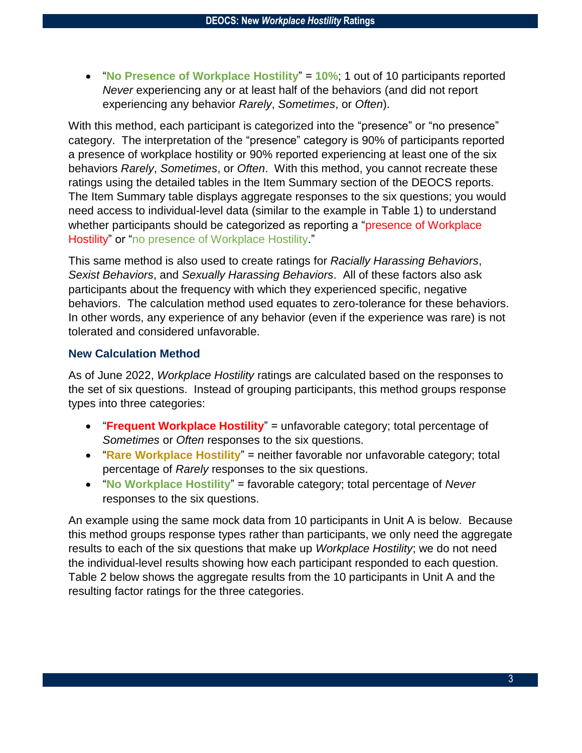"**No Presence of Workplace Hostility**" = **10%**; 1 out of 10 participants reported *Never* experiencing any or at least half of the behaviors (and did not report experiencing any behavior *Rarely*, *Sometimes*, or *Often*).

With this method, each participant is categorized into the "presence" or "no presence" category. The interpretation of the "presence" category is 90% of participants reported a presence of workplace hostility or 90% reported experiencing at least one of the six behaviors *Rarely*, *Sometimes*, or *Often*. With this method, you cannot recreate these ratings using the detailed tables in the Item Summary section of the DEOCS reports. The Item Summary table displays aggregate responses to the six questions; you would need access to individual-level data (similar to the example in Table 1) to understand whether participants should be categorized as reporting a "presence of Workplace" Hostility" or "no presence of Workplace Hostility."

This same method is also used to create ratings for *Racially Harassing Behaviors*, *Sexist Behaviors*, and *Sexually Harassing Behaviors*. All of these factors also ask participants about the frequency with which they experienced specific, negative behaviors. The calculation method used equates to zero-tolerance for these behaviors. In other words, any experience of any behavior (even if the experience was rare) is not tolerated and considered unfavorable.

#### **New Calculation Method**

As of June 2022, *Workplace Hostility* ratings are calculated based on the responses to the set of six questions. Instead of grouping participants, this method groups response types into three categories:

- "**Frequent Workplace Hostility**" = unfavorable category; total percentage of *Sometimes* or *Often* responses to the six questions.
- "**Rare Workplace Hostility**" = neither favorable nor unfavorable category; total percentage of *Rarely* responses to the six questions.
- "**No Workplace Hostility**" = favorable category; total percentage of *Never* responses to the six questions.

An example using the same mock data from 10 participants in Unit A is below. Because this method groups response types rather than participants, we only need the aggregate results to each of the six questions that make up *Workplace Hostility*; we do not need the individual-level results showing how each participant responded to each question. Table 2 below shows the aggregate results from the 10 participants in Unit A and the resulting factor ratings for the three categories.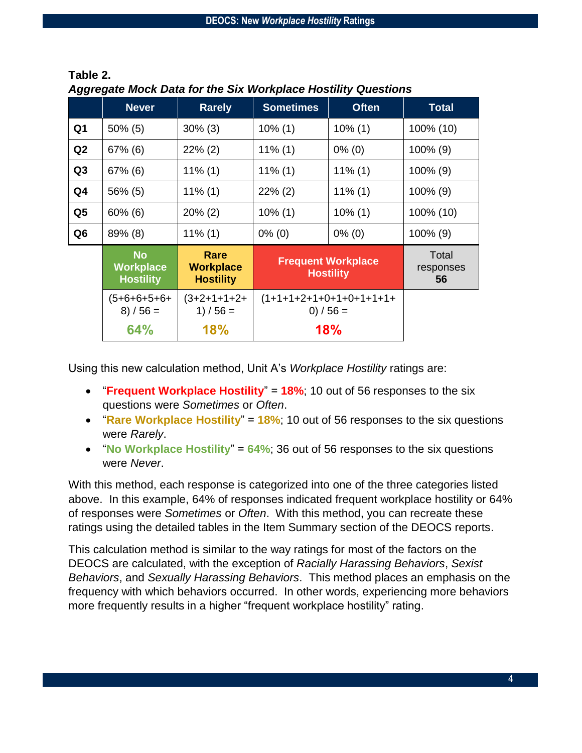|                | <b>Never</b>                                      | <b>Rarely</b>                                | <b>Sometimes</b>                              | <b>Often</b> | <b>Total</b>             |
|----------------|---------------------------------------------------|----------------------------------------------|-----------------------------------------------|--------------|--------------------------|
| Q <sub>1</sub> | $50\%$ (5)                                        | $30\%$ (3)                                   | $10\%$ (1)                                    | $10\%$ (1)   | 100% (10)                |
| Q2             | $67\%$ (6)                                        | $22\%$ (2)                                   | $11\%$ (1)                                    | $0\%$ (0)    | 100% (9)                 |
| Q <sub>3</sub> | $67\%$ (6)                                        | $11\%$ (1)                                   | $11\%$ (1)                                    | $11\%$ (1)   | $100\%$ (9)              |
| Q <sub>4</sub> | 56% (5)                                           | $11\%$ (1)                                   | $22\%$ (2)                                    | $11\%$ (1)   | 100% (9)                 |
| Q <sub>5</sub> | $60\%$ (6)                                        | $20\%$ (2)                                   | $10\%$ (1)                                    | $10\%$ (1)   | 100% (10)                |
| Q <sub>6</sub> | 89% (8)                                           | $11\%$ (1)                                   | $0\%$ (0)                                     | $0\%$ (0)    | $100\%$ (9)              |
|                | <b>No</b><br><b>Workplace</b><br><b>Hostility</b> | Rare<br><b>Workplace</b><br><b>Hostility</b> | <b>Frequent Workplace</b><br><b>Hostility</b> |              | Total<br>responses<br>56 |
|                | (5+6+6+5+6+<br>$8) / 56 =$                        | $(3+2+1+1+2+$<br>1) $/56 =$                  | $(1+1+1+2+1+0+1+0+1+1+1+$<br>0) $/56 =$       |              |                          |
|                | 64%                                               | <b>18%</b>                                   | 18%                                           |              |                          |

**Table 2.**  *Aggregate Mock Data for the Six Workplace Hostility Questions*

Using this new calculation method, Unit A's *Workplace Hostility* ratings are:

- "**Frequent Workplace Hostility**" = **18%**; 10 out of 56 responses to the six questions were *Sometimes* or *Often*.
- "**Rare Workplace Hostility**" = **18%**; 10 out of 56 responses to the six questions were *Rarely*.
- "**No Workplace Hostility**" = **64%**; 36 out of 56 responses to the six questions were *Never*.

With this method, each response is categorized into one of the three categories listed above. In this example, 64% of responses indicated frequent workplace hostility or 64% of responses were *Sometimes* or *Often*. With this method, you can recreate these ratings using the detailed tables in the Item Summary section of the DEOCS reports.

This calculation method is similar to the way ratings for most of the factors on the DEOCS are calculated, with the exception of *Racially Harassing Behaviors*, *Sexist Behaviors*, and *Sexually Harassing Behaviors*. This method places an emphasis on the frequency with which behaviors occurred. In other words, experiencing more behaviors more frequently results in a higher "frequent workplace hostility" rating.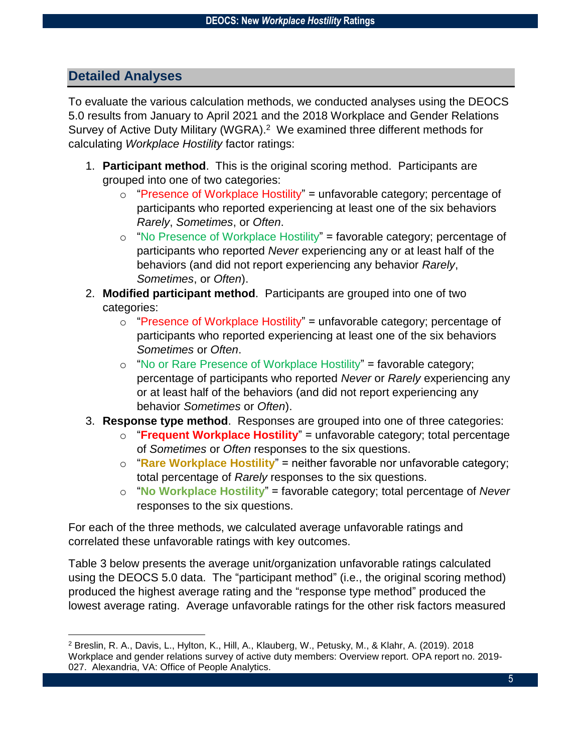# **Detailed Analyses**

 $\overline{a}$ 

To evaluate the various calculation methods, we conducted analyses using the DEOCS 5.0 results from January to April 2021 and the 2018 Workplace and Gender Relations Survey of Active Duty Military (WGRA). <sup>2</sup> We examined three different methods for calculating *Workplace Hostility* factor ratings:

- 1. **Participant method**. This is the original scoring method. Participants are grouped into one of two categories:
	- $\circ$  "Presence of Workplace Hostility" = unfavorable category; percentage of participants who reported experiencing at least one of the six behaviors *Rarely*, *Sometimes*, or *Often*.
	- o "No Presence of Workplace Hostility" = favorable category; percentage of participants who reported *Never* experiencing any or at least half of the behaviors (and did not report experiencing any behavior *Rarely*, *Sometimes*, or *Often*).
- 2. **Modified participant method**. Participants are grouped into one of two categories:
	- o "Presence of Workplace Hostility" = unfavorable category; percentage of participants who reported experiencing at least one of the six behaviors *Sometimes* or *Often*.
	- o "No or Rare Presence of Workplace Hostility" = favorable category; percentage of participants who reported *Never* or *Rarely* experiencing any or at least half of the behaviors (and did not report experiencing any behavior *Sometimes* or *Often*).
- 3. **Response type method**. Responses are grouped into one of three categories:
	- o "**Frequent Workplace Hostility**" = unfavorable category; total percentage of *Sometimes* or *Often* responses to the six questions.
	- o "**Rare Workplace Hostility**" = neither favorable nor unfavorable category; total percentage of *Rarely* responses to the six questions.
	- o "**No Workplace Hostility**" = favorable category; total percentage of *Never* responses to the six questions.

For each of the three methods, we calculated average unfavorable ratings and correlated these unfavorable ratings with key outcomes.

Table 3 below presents the average unit/organization unfavorable ratings calculated using the DEOCS 5.0 data. The "participant method" (i.e., the original scoring method) produced the highest average rating and the "response type method" produced the lowest average rating. Average unfavorable ratings for the other risk factors measured

<sup>2</sup> Breslin, R. A., Davis, L., Hylton, K., Hill, A., Klauberg, W., Petusky, M., & Klahr, A. (2019). 2018 Workplace and gender relations survey of active duty members: Overview report. OPA report no. 2019- 027. Alexandria, VA: Office of People Analytics.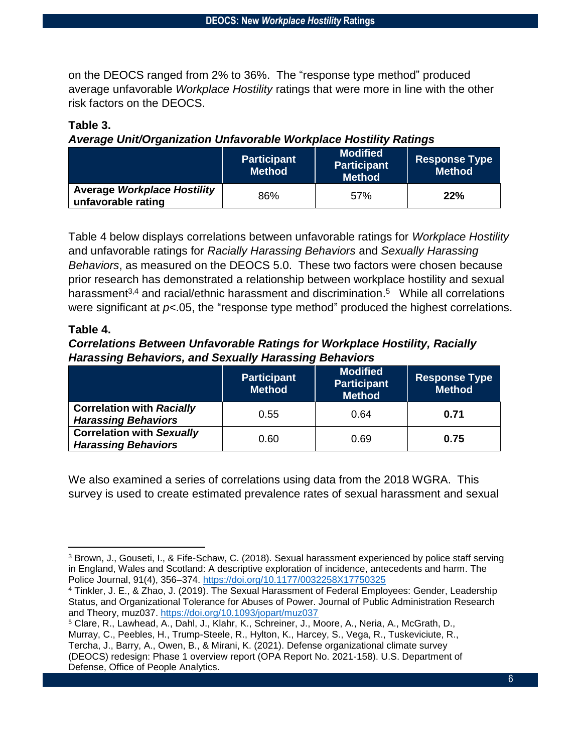on the DEOCS ranged from 2% to 36%. The "response type method" produced average unfavorable *Workplace Hostility* ratings that were more in line with the other risk factors on the DEOCS.

#### **Table 3.**

#### *Average Unit/Organization Unfavorable Workplace Hostility Ratings*

|                                                          | <b>Participant</b><br><b>Method</b> | <b>Modified</b><br><b>Participant</b><br><b>Method</b> | ∣ Response Type <sup>∣</sup><br>∣Method <sup>∖</sup> |
|----------------------------------------------------------|-------------------------------------|--------------------------------------------------------|------------------------------------------------------|
| <b>Average Workplace Hostility</b><br>unfavorable rating | 86%                                 | 57%                                                    | 22%                                                  |

Table 4 below displays correlations between unfavorable ratings for *Workplace Hostility* and unfavorable ratings for *Racially Harassing Behaviors* and *Sexually Harassing Behaviors*, as measured on the DEOCS 5.0. These two factors were chosen because prior research has demonstrated a relationship between workplace hostility and sexual harassment<sup>3,4</sup> and racial/ethnic harassment and discrimination.<sup>5</sup> While all correlations were significant at  $p<0.05$ , the "response type method" produced the highest correlations.

#### **Table 4.**

#### *Correlations Between Unfavorable Ratings for Workplace Hostility, Racially Harassing Behaviors, and Sexually Harassing Behaviors*

|                                                                | <b>Participant</b><br><b>Method</b> | <b>Modified</b><br><b>Participant</b><br><b>Method</b> | <b>Response Type</b><br><b>Method</b> |
|----------------------------------------------------------------|-------------------------------------|--------------------------------------------------------|---------------------------------------|
| <b>Correlation with Racially</b><br><b>Harassing Behaviors</b> | 0.55                                | 0.64                                                   | 0.71                                  |
| <b>Correlation with Sexually</b><br><b>Harassing Behaviors</b> | 0.60                                | 0.69                                                   | 0.75                                  |

We also examined a series of correlations using data from the 2018 WGRA. This survey is used to create estimated prevalence rates of sexual harassment and sexual

 $\overline{\phantom{a}}$ <sup>3</sup> Brown, J., Gouseti, I., & Fife-Schaw, C. (2018). Sexual harassment experienced by police staff serving in England, Wales and Scotland: A descriptive exploration of incidence, antecedents and harm. The Police Journal, 91(4), 356–374.<https://doi.org/10.1177/0032258X17750325>

<sup>4</sup> Tinkler, J. E., & Zhao, J. (2019). The Sexual Harassment of Federal Employees: Gender, Leadership Status, and Organizational Tolerance for Abuses of Power. Journal of Public Administration Research and Theory, muz037.<https://doi.org/10.1093/jopart/muz037>

<sup>5</sup> Clare, R., Lawhead, A., Dahl, J., Klahr, K., Schreiner, J., Moore, A., Neria, A., McGrath, D., Murray, C., Peebles, H., Trump-Steele, R., Hylton, K., Harcey, S., Vega, R., Tuskeviciute, R., Tercha, J., Barry, A., Owen, B., & Mirani, K. (2021). Defense organizational climate survey (DEOCS) redesign: Phase 1 overview report (OPA Report No. 2021-158). U.S. Department of Defense, Office of People Analytics.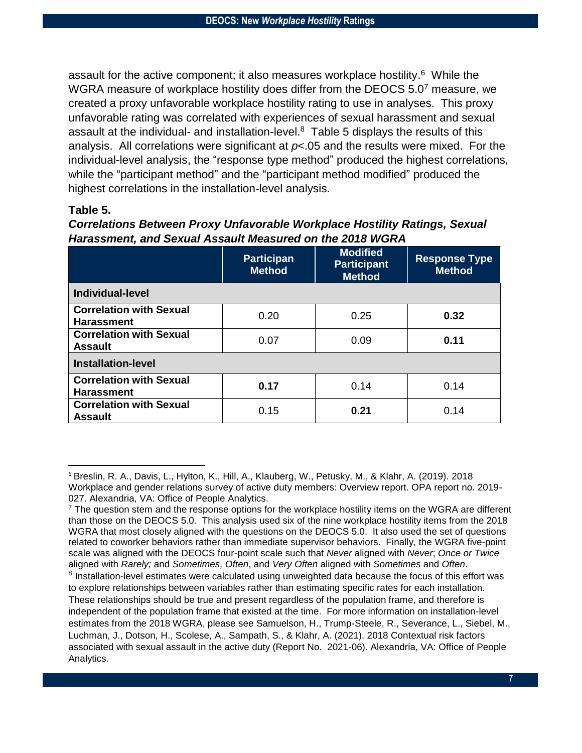assault for the active component; it also measures workplace hostility.<sup>6</sup> While the WGRA measure of workplace hostility does differ from the DEOCS 5.0<sup>7</sup> measure, we created a proxy unfavorable workplace hostility rating to use in analyses. This proxy unfavorable rating was correlated with experiences of sexual harassment and sexual assault at the individual- and installation-level.<sup>8</sup> Table 5 displays the results of this analysis. All correlations were significant at *p*<.05 and the results were mixed. For the individual-level analysis, the "response type method" produced the highest correlations, while the "participant method" and the "participant method modified" produced the highest correlations in the installation-level analysis.

#### **Table 5.**

 $\overline{\phantom{a}}$ 

| <b>Correlations Between Proxy Unfavorable Workplace Hostility Ratings, Sexual</b> |  |
|-----------------------------------------------------------------------------------|--|
| Harassment, and Sexual Assault Measured on the 2018 WGRA                          |  |

|                                                     | <b>Participan</b><br><b>Method</b> | <b>Modified</b><br><b>Participant</b><br><b>Method</b> | <b>Response Type</b><br><b>Method</b> |  |  |
|-----------------------------------------------------|------------------------------------|--------------------------------------------------------|---------------------------------------|--|--|
| Individual-level                                    |                                    |                                                        |                                       |  |  |
| <b>Correlation with Sexual</b><br><b>Harassment</b> | 0.20                               | 0.25                                                   | 0.32                                  |  |  |
| <b>Correlation with Sexual</b><br><b>Assault</b>    | 0.07                               | 0.09                                                   | 0.11                                  |  |  |
| <b>Installation-level</b>                           |                                    |                                                        |                                       |  |  |
| <b>Correlation with Sexual</b><br><b>Harassment</b> | 0.17                               | 0.14                                                   | 0.14                                  |  |  |
| <b>Correlation with Sexual</b><br><b>Assault</b>    | 0.15                               | 0.21                                                   | 0.14                                  |  |  |

<sup>6</sup> Breslin, R. A., Davis, L., Hylton, K., Hill, A., Klauberg, W., Petusky, M., & Klahr, A. (2019). 2018 Workplace and gender relations survey of active duty members: Overview report. OPA report no. 2019- 027. Alexandria, VA: Office of People Analytics.

 $7$  The question stem and the response options for the workplace hostility items on the WGRA are different than those on the DEOCS 5.0. This analysis used six of the nine workplace hostility items from the 2018 WGRA that most closely aligned with the questions on the DEOCS 5.0. It also used the set of questions related to coworker behaviors rather than immediate supervisor behaviors. Finally, the WGRA five-point scale was aligned with the DEOCS four-point scale such that *Never* aligned with *Never*; *Once or Twice* aligned with *Rarely;* and *Sometimes, Often*, and *Very Often* aligned with *Sometimes* and *Often*. <sup>8</sup> Installation-level estimates were calculated using unweighted data because the focus of this effort was to explore relationships between variables rather than estimating specific rates for each installation. These relationships should be true and present regardless of the population frame, and therefore is independent of the population frame that existed at the time. For more information on installation-level estimates from the 2018 WGRA, please see Samuelson, H., Trump-Steele, R., Severance, L., Siebel, M., Luchman, J., Dotson, H., Scolese, A., Sampath, S., & Klahr, A. (2021). 2018 Contextual risk factors associated with sexual assault in the active duty (Report No. 2021-06). Alexandria, VA: Office of People Analytics.